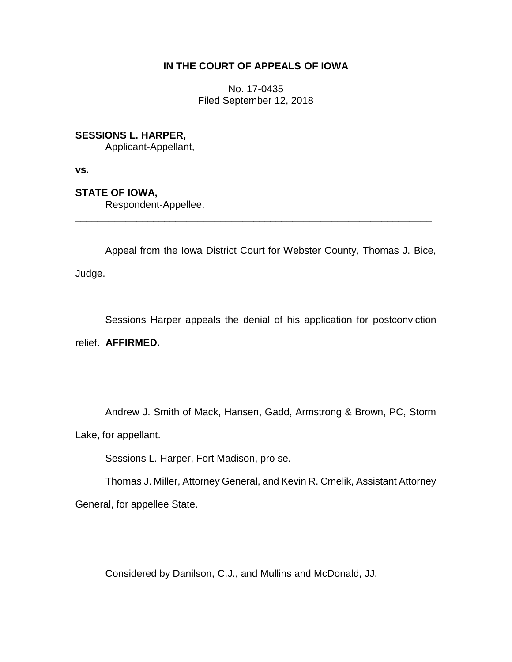# **IN THE COURT OF APPEALS OF IOWA**

No. 17-0435 Filed September 12, 2018

# **SESSIONS L. HARPER,**

Applicant-Appellant,

**vs.**

**STATE OF IOWA,**

Respondent-Appellee.

Appeal from the Iowa District Court for Webster County, Thomas J. Bice, Judge.

\_\_\_\_\_\_\_\_\_\_\_\_\_\_\_\_\_\_\_\_\_\_\_\_\_\_\_\_\_\_\_\_\_\_\_\_\_\_\_\_\_\_\_\_\_\_\_\_\_\_\_\_\_\_\_\_\_\_\_\_\_\_\_\_

Sessions Harper appeals the denial of his application for postconviction relief. **AFFIRMED.** 

Andrew J. Smith of Mack, Hansen, Gadd, Armstrong & Brown, PC, Storm Lake, for appellant.

Sessions L. Harper, Fort Madison, pro se.

Thomas J. Miller, Attorney General, and Kevin R. Cmelik, Assistant Attorney General, for appellee State.

Considered by Danilson, C.J., and Mullins and McDonald, JJ.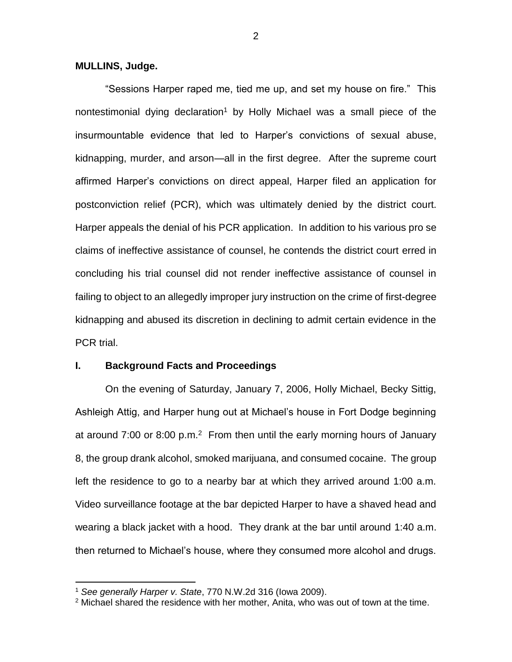### **MULLINS, Judge.**

"Sessions Harper raped me, tied me up, and set my house on fire." This nontestimonial dying declaration<sup>1</sup> by Holly Michael was a small piece of the insurmountable evidence that led to Harper's convictions of sexual abuse, kidnapping, murder, and arson—all in the first degree. After the supreme court affirmed Harper's convictions on direct appeal, Harper filed an application for postconviction relief (PCR), which was ultimately denied by the district court. Harper appeals the denial of his PCR application. In addition to his various pro se claims of ineffective assistance of counsel, he contends the district court erred in concluding his trial counsel did not render ineffective assistance of counsel in failing to object to an allegedly improper jury instruction on the crime of first-degree kidnapping and abused its discretion in declining to admit certain evidence in the PCR trial.

#### **I. Background Facts and Proceedings**

On the evening of Saturday, January 7, 2006, Holly Michael, Becky Sittig, Ashleigh Attig, and Harper hung out at Michael's house in Fort Dodge beginning at around  $7:00$  or  $8:00$  p.m.<sup>2</sup> From then until the early morning hours of January 8, the group drank alcohol, smoked marijuana, and consumed cocaine. The group left the residence to go to a nearby bar at which they arrived around 1:00 a.m. Video surveillance footage at the bar depicted Harper to have a shaved head and wearing a black jacket with a hood. They drank at the bar until around 1:40 a.m. then returned to Michael's house, where they consumed more alcohol and drugs.

 $\overline{a}$ 

<sup>1</sup> *See generally Harper v. State*, 770 N.W.2d 316 (Iowa 2009).

<sup>&</sup>lt;sup>2</sup> Michael shared the residence with her mother, Anita, who was out of town at the time.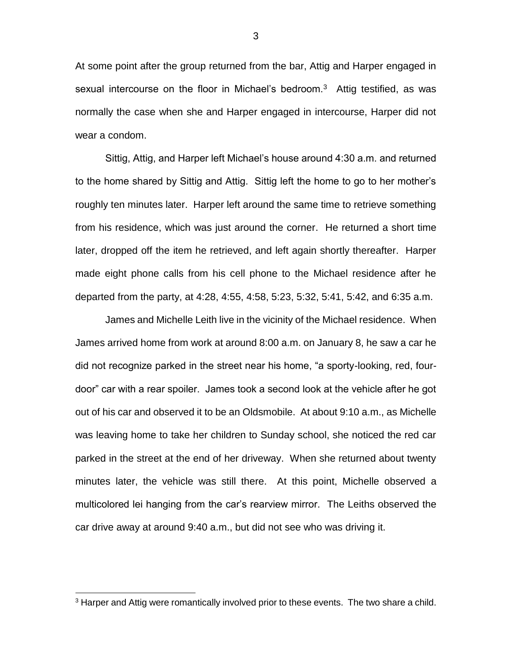At some point after the group returned from the bar, Attig and Harper engaged in sexual intercourse on the floor in Michael's bedroom.<sup>3</sup> Attig testified, as was normally the case when she and Harper engaged in intercourse, Harper did not wear a condom.

Sittig, Attig, and Harper left Michael's house around 4:30 a.m. and returned to the home shared by Sittig and Attig. Sittig left the home to go to her mother's roughly ten minutes later. Harper left around the same time to retrieve something from his residence, which was just around the corner. He returned a short time later, dropped off the item he retrieved, and left again shortly thereafter. Harper made eight phone calls from his cell phone to the Michael residence after he departed from the party, at 4:28, 4:55, 4:58, 5:23, 5:32, 5:41, 5:42, and 6:35 a.m.

James and Michelle Leith live in the vicinity of the Michael residence. When James arrived home from work at around 8:00 a.m. on January 8, he saw a car he did not recognize parked in the street near his home, "a sporty-looking, red, fourdoor" car with a rear spoiler. James took a second look at the vehicle after he got out of his car and observed it to be an Oldsmobile. At about 9:10 a.m., as Michelle was leaving home to take her children to Sunday school, she noticed the red car parked in the street at the end of her driveway. When she returned about twenty minutes later, the vehicle was still there. At this point, Michelle observed a multicolored lei hanging from the car's rearview mirror. The Leiths observed the car drive away at around 9:40 a.m., but did not see who was driving it.

 $\overline{a}$ 

<sup>&</sup>lt;sup>3</sup> Harper and Attig were romantically involved prior to these events. The two share a child.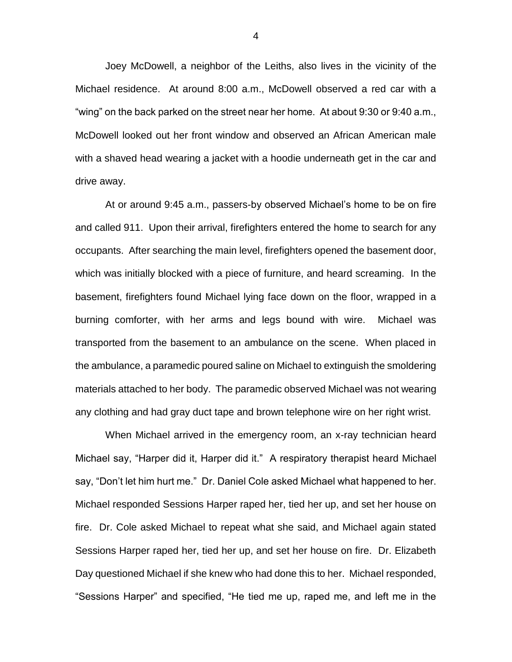Joey McDowell, a neighbor of the Leiths, also lives in the vicinity of the Michael residence. At around 8:00 a.m., McDowell observed a red car with a "wing" on the back parked on the street near her home. At about 9:30 or 9:40 a.m., McDowell looked out her front window and observed an African American male with a shaved head wearing a jacket with a hoodie underneath get in the car and drive away.

At or around 9:45 a.m., passers-by observed Michael's home to be on fire and called 911. Upon their arrival, firefighters entered the home to search for any occupants. After searching the main level, firefighters opened the basement door, which was initially blocked with a piece of furniture, and heard screaming. In the basement, firefighters found Michael lying face down on the floor, wrapped in a burning comforter, with her arms and legs bound with wire. Michael was transported from the basement to an ambulance on the scene. When placed in the ambulance, a paramedic poured saline on Michael to extinguish the smoldering materials attached to her body. The paramedic observed Michael was not wearing any clothing and had gray duct tape and brown telephone wire on her right wrist.

When Michael arrived in the emergency room, an x-ray technician heard Michael say, "Harper did it, Harper did it." A respiratory therapist heard Michael say, "Don't let him hurt me." Dr. Daniel Cole asked Michael what happened to her. Michael responded Sessions Harper raped her, tied her up, and set her house on fire. Dr. Cole asked Michael to repeat what she said, and Michael again stated Sessions Harper raped her, tied her up, and set her house on fire. Dr. Elizabeth Day questioned Michael if she knew who had done this to her. Michael responded, "Sessions Harper" and specified, "He tied me up, raped me, and left me in the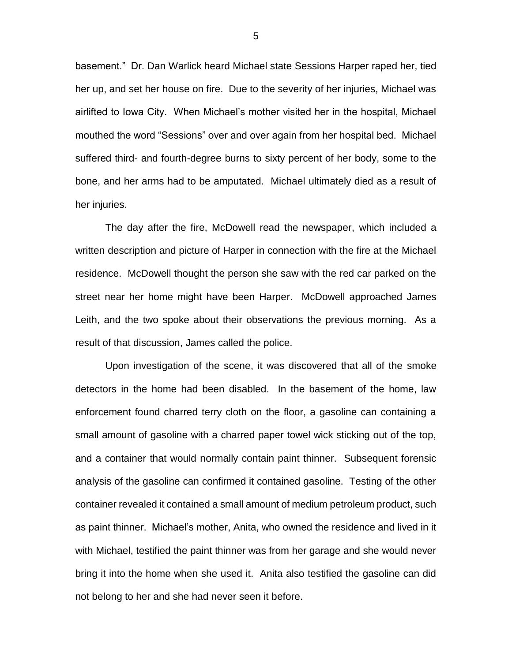basement." Dr. Dan Warlick heard Michael state Sessions Harper raped her, tied her up, and set her house on fire. Due to the severity of her injuries, Michael was airlifted to Iowa City. When Michael's mother visited her in the hospital, Michael mouthed the word "Sessions" over and over again from her hospital bed. Michael suffered third- and fourth-degree burns to sixty percent of her body, some to the bone, and her arms had to be amputated. Michael ultimately died as a result of her injuries.

The day after the fire, McDowell read the newspaper, which included a written description and picture of Harper in connection with the fire at the Michael residence. McDowell thought the person she saw with the red car parked on the street near her home might have been Harper. McDowell approached James Leith, and the two spoke about their observations the previous morning. As a result of that discussion, James called the police.

Upon investigation of the scene, it was discovered that all of the smoke detectors in the home had been disabled. In the basement of the home, law enforcement found charred terry cloth on the floor, a gasoline can containing a small amount of gasoline with a charred paper towel wick sticking out of the top, and a container that would normally contain paint thinner. Subsequent forensic analysis of the gasoline can confirmed it contained gasoline. Testing of the other container revealed it contained a small amount of medium petroleum product, such as paint thinner. Michael's mother, Anita, who owned the residence and lived in it with Michael, testified the paint thinner was from her garage and she would never bring it into the home when she used it. Anita also testified the gasoline can did not belong to her and she had never seen it before.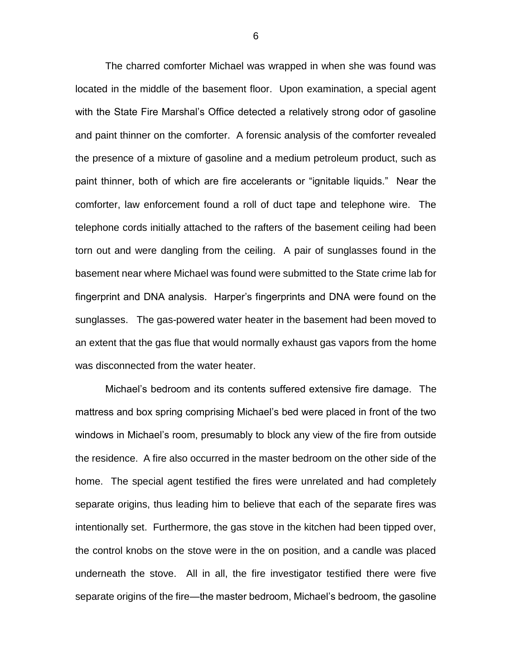The charred comforter Michael was wrapped in when she was found was located in the middle of the basement floor. Upon examination, a special agent with the State Fire Marshal's Office detected a relatively strong odor of gasoline and paint thinner on the comforter. A forensic analysis of the comforter revealed the presence of a mixture of gasoline and a medium petroleum product, such as paint thinner, both of which are fire accelerants or "ignitable liquids." Near the comforter, law enforcement found a roll of duct tape and telephone wire. The telephone cords initially attached to the rafters of the basement ceiling had been torn out and were dangling from the ceiling. A pair of sunglasses found in the basement near where Michael was found were submitted to the State crime lab for fingerprint and DNA analysis. Harper's fingerprints and DNA were found on the sunglasses. The gas-powered water heater in the basement had been moved to an extent that the gas flue that would normally exhaust gas vapors from the home was disconnected from the water heater.

Michael's bedroom and its contents suffered extensive fire damage. The mattress and box spring comprising Michael's bed were placed in front of the two windows in Michael's room, presumably to block any view of the fire from outside the residence. A fire also occurred in the master bedroom on the other side of the home. The special agent testified the fires were unrelated and had completely separate origins, thus leading him to believe that each of the separate fires was intentionally set. Furthermore, the gas stove in the kitchen had been tipped over, the control knobs on the stove were in the on position, and a candle was placed underneath the stove. All in all, the fire investigator testified there were five separate origins of the fire—the master bedroom, Michael's bedroom, the gasoline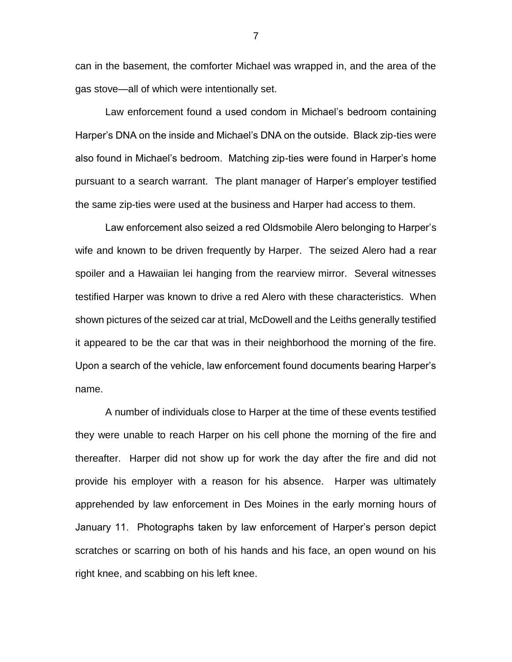can in the basement, the comforter Michael was wrapped in, and the area of the gas stove—all of which were intentionally set.

Law enforcement found a used condom in Michael's bedroom containing Harper's DNA on the inside and Michael's DNA on the outside. Black zip-ties were also found in Michael's bedroom. Matching zip-ties were found in Harper's home pursuant to a search warrant. The plant manager of Harper's employer testified the same zip-ties were used at the business and Harper had access to them.

Law enforcement also seized a red Oldsmobile Alero belonging to Harper's wife and known to be driven frequently by Harper. The seized Alero had a rear spoiler and a Hawaiian lei hanging from the rearview mirror. Several witnesses testified Harper was known to drive a red Alero with these characteristics. When shown pictures of the seized car at trial, McDowell and the Leiths generally testified it appeared to be the car that was in their neighborhood the morning of the fire. Upon a search of the vehicle, law enforcement found documents bearing Harper's name.

A number of individuals close to Harper at the time of these events testified they were unable to reach Harper on his cell phone the morning of the fire and thereafter. Harper did not show up for work the day after the fire and did not provide his employer with a reason for his absence. Harper was ultimately apprehended by law enforcement in Des Moines in the early morning hours of January 11. Photographs taken by law enforcement of Harper's person depict scratches or scarring on both of his hands and his face, an open wound on his right knee, and scabbing on his left knee.

7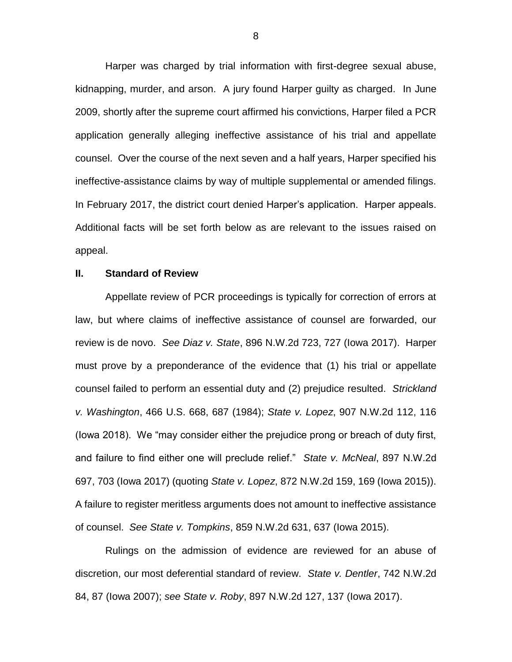Harper was charged by trial information with first-degree sexual abuse, kidnapping, murder, and arson. A jury found Harper guilty as charged. In June 2009, shortly after the supreme court affirmed his convictions, Harper filed a PCR application generally alleging ineffective assistance of his trial and appellate counsel. Over the course of the next seven and a half years, Harper specified his ineffective-assistance claims by way of multiple supplemental or amended filings. In February 2017, the district court denied Harper's application. Harper appeals. Additional facts will be set forth below as are relevant to the issues raised on appeal.

#### **II. Standard of Review**

Appellate review of PCR proceedings is typically for correction of errors at law, but where claims of ineffective assistance of counsel are forwarded, our review is de novo. *See Diaz v. State*, 896 N.W.2d 723, 727 (Iowa 2017). Harper must prove by a preponderance of the evidence that (1) his trial or appellate counsel failed to perform an essential duty and (2) prejudice resulted. *Strickland v. Washington*, 466 U.S. 668, 687 (1984); *State v. Lopez*, 907 N.W.2d 112, 116 (Iowa 2018). We "may consider either the prejudice prong or breach of duty first, and failure to find either one will preclude relief." *State v. McNeal*, 897 N.W.2d 697, 703 (Iowa 2017) (quoting *State v. Lopez*, 872 N.W.2d 159, 169 (Iowa 2015)). A failure to register meritless arguments does not amount to ineffective assistance of counsel. *See State v. Tompkins*, 859 N.W.2d 631, 637 (Iowa 2015).

Rulings on the admission of evidence are reviewed for an abuse of discretion, our most deferential standard of review. *State v. Dentler*, 742 N.W.2d 84, 87 (Iowa 2007); *see State v. Roby*, 897 N.W.2d 127, 137 (Iowa 2017).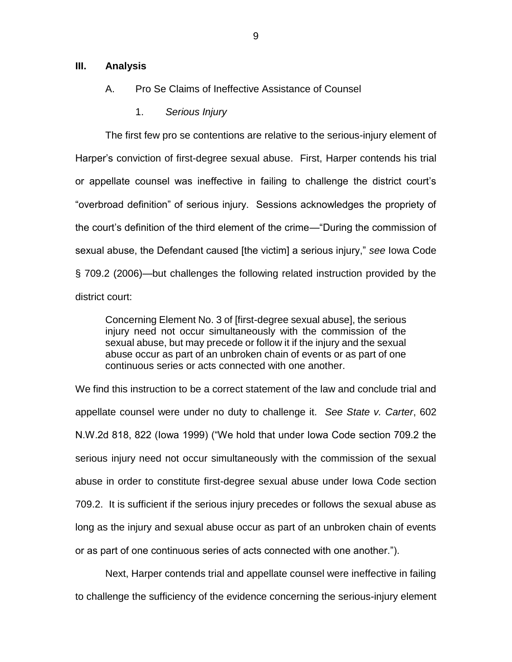### **III. Analysis**

## A. Pro Se Claims of Ineffective Assistance of Counsel

1. *Serious Injury*

The first few pro se contentions are relative to the serious-injury element of Harper's conviction of first-degree sexual abuse. First, Harper contends his trial or appellate counsel was ineffective in failing to challenge the district court's "overbroad definition" of serious injury. Sessions acknowledges the propriety of the court's definition of the third element of the crime—"During the commission of sexual abuse, the Defendant caused [the victim] a serious injury," *see* Iowa Code § 709.2 (2006)—but challenges the following related instruction provided by the district court:

Concerning Element No. 3 of [first-degree sexual abuse], the serious injury need not occur simultaneously with the commission of the sexual abuse, but may precede or follow it if the injury and the sexual abuse occur as part of an unbroken chain of events or as part of one continuous series or acts connected with one another.

We find this instruction to be a correct statement of the law and conclude trial and appellate counsel were under no duty to challenge it. *See State v. Carter*, 602 N.W.2d 818, 822 (Iowa 1999) ("We hold that under Iowa Code section 709.2 the serious injury need not occur simultaneously with the commission of the sexual abuse in order to constitute first-degree sexual abuse under Iowa Code section 709.2. It is sufficient if the serious injury precedes or follows the sexual abuse as long as the injury and sexual abuse occur as part of an unbroken chain of events or as part of one continuous series of acts connected with one another.").

Next, Harper contends trial and appellate counsel were ineffective in failing to challenge the sufficiency of the evidence concerning the serious-injury element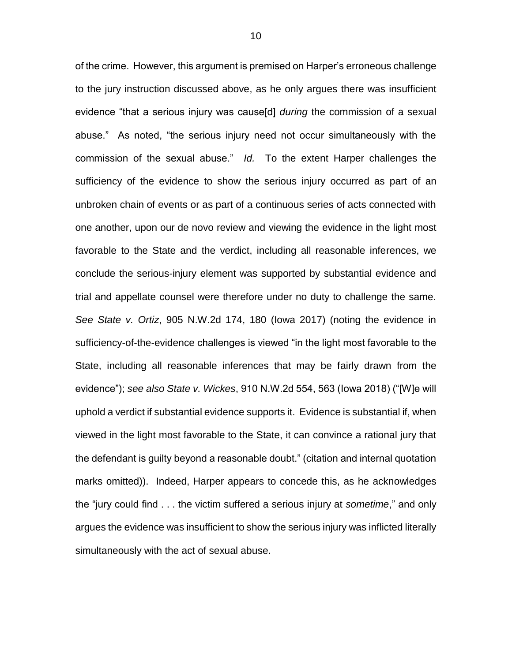of the crime. However, this argument is premised on Harper's erroneous challenge to the jury instruction discussed above, as he only argues there was insufficient evidence "that a serious injury was cause[d] *during* the commission of a sexual abuse." As noted, "the serious injury need not occur simultaneously with the commission of the sexual abuse." *Id.* To the extent Harper challenges the sufficiency of the evidence to show the serious injury occurred as part of an unbroken chain of events or as part of a continuous series of acts connected with one another, upon our de novo review and viewing the evidence in the light most favorable to the State and the verdict, including all reasonable inferences, we conclude the serious-injury element was supported by substantial evidence and trial and appellate counsel were therefore under no duty to challenge the same. *See State v. Ortiz*, 905 N.W.2d 174, 180 (Iowa 2017) (noting the evidence in sufficiency-of-the-evidence challenges is viewed "in the light most favorable to the State, including all reasonable inferences that may be fairly drawn from the evidence"); *see also State v. Wickes*, 910 N.W.2d 554, 563 (Iowa 2018) ("[W]e will uphold a verdict if substantial evidence supports it. Evidence is substantial if, when viewed in the light most favorable to the State, it can convince a rational jury that the defendant is guilty beyond a reasonable doubt." (citation and internal quotation marks omitted)). Indeed, Harper appears to concede this, as he acknowledges the "jury could find . . . the victim suffered a serious injury at *sometime*," and only argues the evidence was insufficient to show the serious injury was inflicted literally simultaneously with the act of sexual abuse.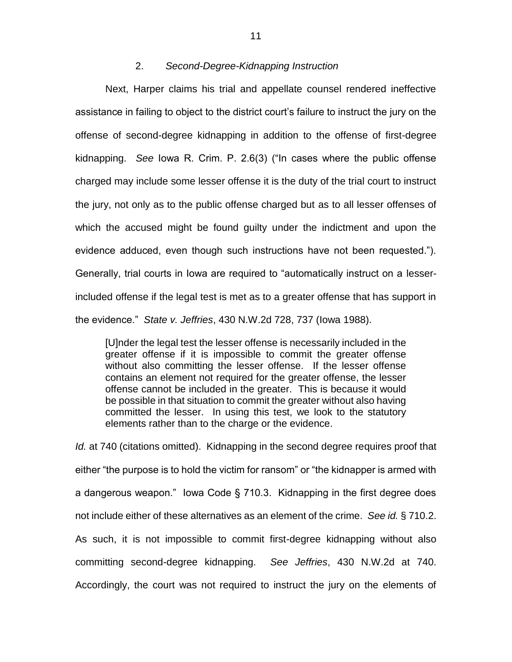## 2. *Second-Degree-Kidnapping Instruction*

Next, Harper claims his trial and appellate counsel rendered ineffective assistance in failing to object to the district court's failure to instruct the jury on the offense of second-degree kidnapping in addition to the offense of first-degree kidnapping. *See* Iowa R. Crim. P. 2.6(3) ("In cases where the public offense charged may include some lesser offense it is the duty of the trial court to instruct the jury, not only as to the public offense charged but as to all lesser offenses of which the accused might be found guilty under the indictment and upon the evidence adduced, even though such instructions have not been requested."). Generally, trial courts in Iowa are required to "automatically instruct on a lesserincluded offense if the legal test is met as to a greater offense that has support in the evidence." *State v. Jeffries*, 430 N.W.2d 728, 737 (Iowa 1988).

[U]nder the legal test the lesser offense is necessarily included in the greater offense if it is impossible to commit the greater offense without also committing the lesser offense. If the lesser offense contains an element not required for the greater offense, the lesser offense cannot be included in the greater. This is because it would be possible in that situation to commit the greater without also having committed the lesser. In using this test, we look to the statutory elements rather than to the charge or the evidence.

*Id.* at 740 (citations omitted). Kidnapping in the second degree requires proof that either "the purpose is to hold the victim for ransom" or "the kidnapper is armed with a dangerous weapon." Iowa Code § 710.3. Kidnapping in the first degree does not include either of these alternatives as an element of the crime. *See id.* § 710.2. As such, it is not impossible to commit first-degree kidnapping without also committing second-degree kidnapping. *See Jeffries*, 430 N.W.2d at 740. Accordingly, the court was not required to instruct the jury on the elements of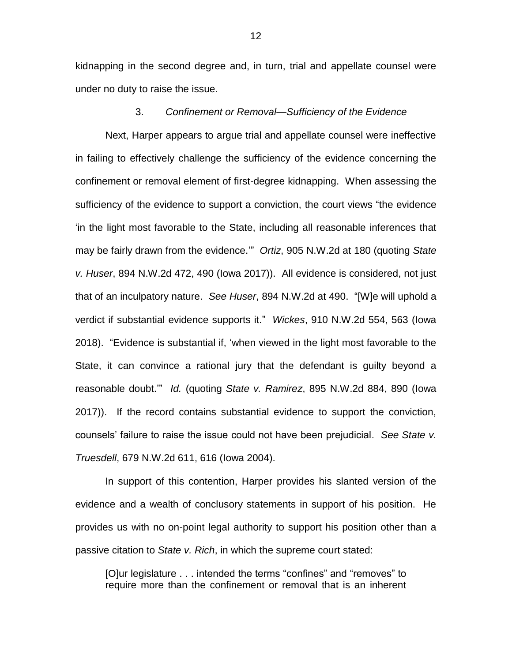kidnapping in the second degree and, in turn, trial and appellate counsel were under no duty to raise the issue.

#### 3. *Confinement or Removal—Sufficiency of the Evidence*

Next, Harper appears to argue trial and appellate counsel were ineffective in failing to effectively challenge the sufficiency of the evidence concerning the confinement or removal element of first-degree kidnapping. When assessing the sufficiency of the evidence to support a conviction, the court views "the evidence 'in the light most favorable to the State, including all reasonable inferences that may be fairly drawn from the evidence.'" *Ortiz*, 905 N.W.2d at 180 (quoting *State v. Huser*, 894 N.W.2d 472, 490 (Iowa 2017)). All evidence is considered, not just that of an inculpatory nature. *See Huser*, 894 N.W.2d at 490. "[W]e will uphold a verdict if substantial evidence supports it." *Wickes*, 910 N.W.2d 554, 563 (Iowa 2018)."Evidence is substantial if, 'when viewed in the light most favorable to the State, it can convince a rational jury that the defendant is guilty beyond a reasonable doubt.'" *Id.* (quoting *State v. Ramirez*, 895 N.W.2d 884, 890 (Iowa 2017)). If the record contains substantial evidence to support the conviction, counsels' failure to raise the issue could not have been prejudicial. *See State v. Truesdell*, 679 N.W.2d 611, 616 (Iowa 2004).

In support of this contention, Harper provides his slanted version of the evidence and a wealth of conclusory statements in support of his position. He provides us with no on-point legal authority to support his position other than a passive citation to *State v. Rich*, in which the supreme court stated:

[O]ur legislature . . . intended the terms "confines" and "removes" to require more than the confinement or removal that is an inherent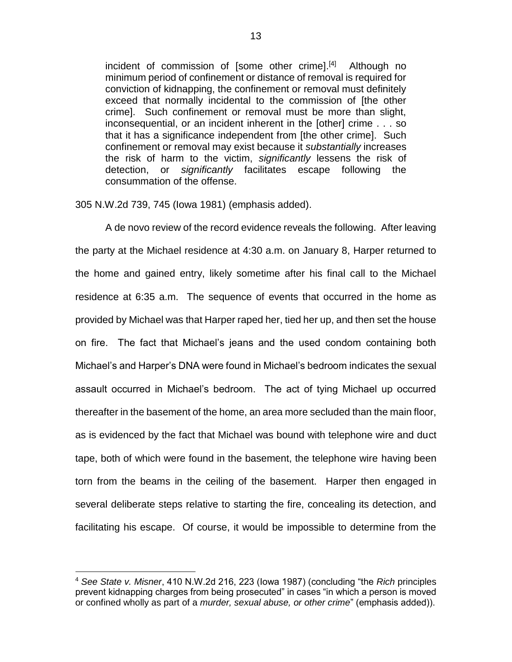incident of commission of [some other crime].<sup>[4]</sup> Although no minimum period of confinement or distance of removal is required for conviction of kidnapping, the confinement or removal must definitely exceed that normally incidental to the commission of [the other crime]. Such confinement or removal must be more than slight, inconsequential, or an incident inherent in the [other] crime . . . so that it has a significance independent from [the other crime]. Such confinement or removal may exist because it *substantially* increases the risk of harm to the victim, *significantly* lessens the risk of detection, or *significantly* facilitates escape following the consummation of the offense.

305 N.W.2d 739, 745 (Iowa 1981) (emphasis added).

A de novo review of the record evidence reveals the following. After leaving the party at the Michael residence at 4:30 a.m. on January 8, Harper returned to the home and gained entry, likely sometime after his final call to the Michael residence at 6:35 a.m. The sequence of events that occurred in the home as provided by Michael was that Harper raped her, tied her up, and then set the house on fire. The fact that Michael's jeans and the used condom containing both Michael's and Harper's DNA were found in Michael's bedroom indicates the sexual assault occurred in Michael's bedroom. The act of tying Michael up occurred thereafter in the basement of the home, an area more secluded than the main floor, as is evidenced by the fact that Michael was bound with telephone wire and duct tape, both of which were found in the basement, the telephone wire having been torn from the beams in the ceiling of the basement. Harper then engaged in several deliberate steps relative to starting the fire, concealing its detection, and facilitating his escape. Of course, it would be impossible to determine from the

 $\overline{a}$ 

<sup>4</sup> *See State v. Misner*, 410 N.W.2d 216, 223 (Iowa 1987) (concluding "the *Rich* principles prevent kidnapping charges from being prosecuted" in cases "in which a person is moved or confined wholly as part of a *murder, sexual abuse, or other crime*" (emphasis added)).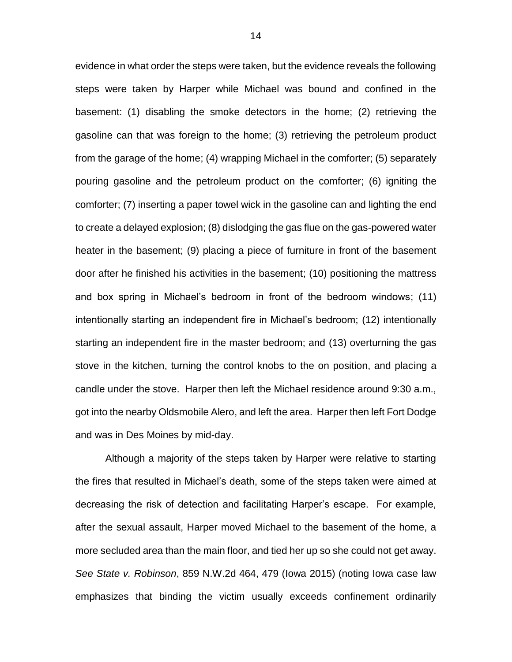evidence in what order the steps were taken, but the evidence reveals the following steps were taken by Harper while Michael was bound and confined in the basement: (1) disabling the smoke detectors in the home; (2) retrieving the gasoline can that was foreign to the home; (3) retrieving the petroleum product from the garage of the home; (4) wrapping Michael in the comforter; (5) separately pouring gasoline and the petroleum product on the comforter; (6) igniting the comforter; (7) inserting a paper towel wick in the gasoline can and lighting the end to create a delayed explosion; (8) dislodging the gas flue on the gas-powered water heater in the basement; (9) placing a piece of furniture in front of the basement door after he finished his activities in the basement; (10) positioning the mattress and box spring in Michael's bedroom in front of the bedroom windows; (11) intentionally starting an independent fire in Michael's bedroom; (12) intentionally starting an independent fire in the master bedroom; and (13) overturning the gas stove in the kitchen, turning the control knobs to the on position, and placing a candle under the stove. Harper then left the Michael residence around 9:30 a.m., got into the nearby Oldsmobile Alero, and left the area. Harper then left Fort Dodge and was in Des Moines by mid-day.

Although a majority of the steps taken by Harper were relative to starting the fires that resulted in Michael's death, some of the steps taken were aimed at decreasing the risk of detection and facilitating Harper's escape. For example, after the sexual assault, Harper moved Michael to the basement of the home, a more secluded area than the main floor, and tied her up so she could not get away. *See State v. Robinson*, 859 N.W.2d 464, 479 (Iowa 2015) (noting Iowa case law emphasizes that binding the victim usually exceeds confinement ordinarily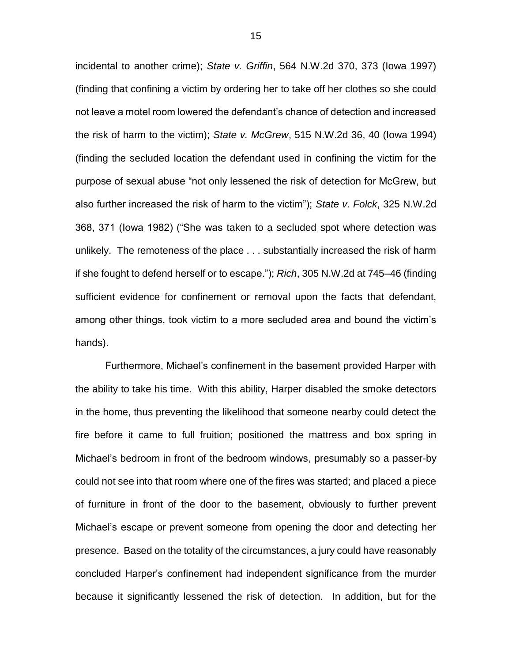incidental to another crime); *State v. Griffin*, 564 N.W.2d 370, 373 (Iowa 1997) (finding that confining a victim by ordering her to take off her clothes so she could not leave a motel room lowered the defendant's chance of detection and increased the risk of harm to the victim); *State v. McGrew*, 515 N.W.2d 36, 40 (Iowa 1994) (finding the secluded location the defendant used in confining the victim for the purpose of sexual abuse "not only lessened the risk of detection for McGrew, but also further increased the risk of harm to the victim"); *State v. Folck*, 325 N.W.2d 368, 371 (Iowa 1982) ("She was taken to a secluded spot where detection was unlikely. The remoteness of the place . . . substantially increased the risk of harm if she fought to defend herself or to escape."); *Rich*, 305 N.W.2d at 745–46 (finding sufficient evidence for confinement or removal upon the facts that defendant, among other things, took victim to a more secluded area and bound the victim's hands).

Furthermore, Michael's confinement in the basement provided Harper with the ability to take his time. With this ability, Harper disabled the smoke detectors in the home, thus preventing the likelihood that someone nearby could detect the fire before it came to full fruition; positioned the mattress and box spring in Michael's bedroom in front of the bedroom windows, presumably so a passer-by could not see into that room where one of the fires was started; and placed a piece of furniture in front of the door to the basement, obviously to further prevent Michael's escape or prevent someone from opening the door and detecting her presence. Based on the totality of the circumstances, a jury could have reasonably concluded Harper's confinement had independent significance from the murder because it significantly lessened the risk of detection. In addition, but for the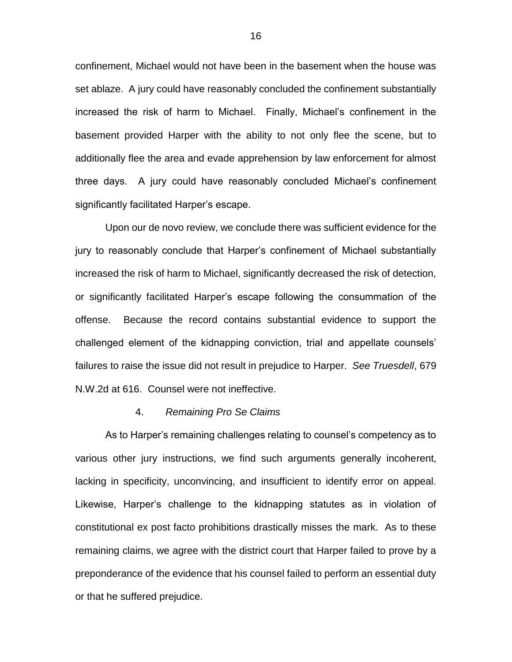confinement, Michael would not have been in the basement when the house was set ablaze. A jury could have reasonably concluded the confinement substantially increased the risk of harm to Michael. Finally, Michael's confinement in the basement provided Harper with the ability to not only flee the scene, but to additionally flee the area and evade apprehension by law enforcement for almost three days. A jury could have reasonably concluded Michael's confinement significantly facilitated Harper's escape.

Upon our de novo review, we conclude there was sufficient evidence for the jury to reasonably conclude that Harper's confinement of Michael substantially increased the risk of harm to Michael, significantly decreased the risk of detection, or significantly facilitated Harper's escape following the consummation of the offense. Because the record contains substantial evidence to support the challenged element of the kidnapping conviction, trial and appellate counsels' failures to raise the issue did not result in prejudice to Harper. *See Truesdell*, 679 N.W.2d at 616. Counsel were not ineffective.

#### 4. *Remaining Pro Se Claims*

As to Harper's remaining challenges relating to counsel's competency as to various other jury instructions, we find such arguments generally incoherent, lacking in specificity, unconvincing, and insufficient to identify error on appeal. Likewise, Harper's challenge to the kidnapping statutes as in violation of constitutional ex post facto prohibitions drastically misses the mark. As to these remaining claims, we agree with the district court that Harper failed to prove by a preponderance of the evidence that his counsel failed to perform an essential duty or that he suffered prejudice.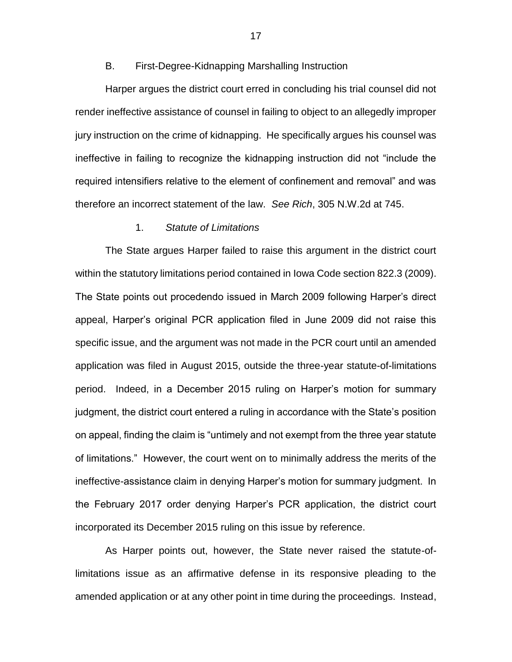## B. First-Degree-Kidnapping Marshalling Instruction

Harper argues the district court erred in concluding his trial counsel did not render ineffective assistance of counsel in failing to object to an allegedly improper jury instruction on the crime of kidnapping. He specifically argues his counsel was ineffective in failing to recognize the kidnapping instruction did not "include the required intensifiers relative to the element of confinement and removal" and was therefore an incorrect statement of the law. *See Rich*, 305 N.W.2d at 745.

### 1. *Statute of Limitations*

The State argues Harper failed to raise this argument in the district court within the statutory limitations period contained in Iowa Code section 822.3 (2009). The State points out procedendo issued in March 2009 following Harper's direct appeal, Harper's original PCR application filed in June 2009 did not raise this specific issue, and the argument was not made in the PCR court until an amended application was filed in August 2015, outside the three-year statute-of-limitations period. Indeed, in a December 2015 ruling on Harper's motion for summary judgment, the district court entered a ruling in accordance with the State's position on appeal, finding the claim is "untimely and not exempt from the three year statute of limitations." However, the court went on to minimally address the merits of the ineffective-assistance claim in denying Harper's motion for summary judgment. In the February 2017 order denying Harper's PCR application, the district court incorporated its December 2015 ruling on this issue by reference.

As Harper points out, however, the State never raised the statute-oflimitations issue as an affirmative defense in its responsive pleading to the amended application or at any other point in time during the proceedings. Instead,

17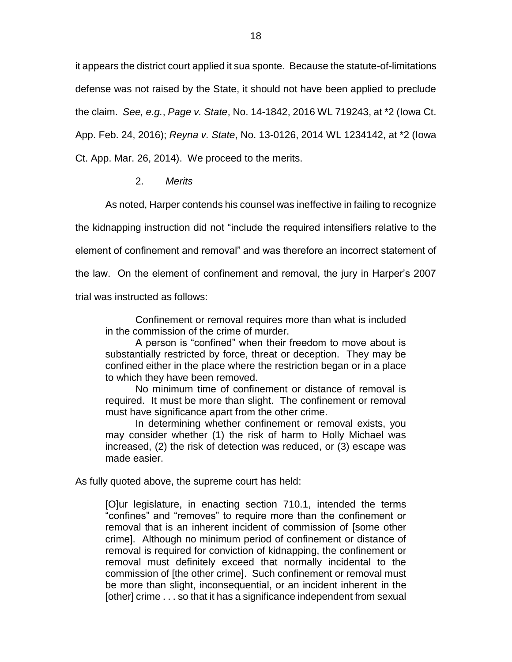it appears the district court applied it sua sponte. Because the statute-of-limitations defense was not raised by the State, it should not have been applied to preclude the claim. *See, e.g.*, *Page v. State*, No. 14-1842, 2016 WL 719243, at \*2 (Iowa Ct. App. Feb. 24, 2016); *Reyna v. State*, No. 13-0126, 2014 WL 1234142, at \*2 (Iowa Ct. App. Mar. 26, 2014). We proceed to the merits.

# 2. *Merits*

As noted, Harper contends his counsel was ineffective in failing to recognize the kidnapping instruction did not "include the required intensifiers relative to the element of confinement and removal" and was therefore an incorrect statement of the law. On the element of confinement and removal, the jury in Harper's 2007 trial was instructed as follows:

Confinement or removal requires more than what is included in the commission of the crime of murder.

A person is "confined" when their freedom to move about is substantially restricted by force, threat or deception. They may be confined either in the place where the restriction began or in a place to which they have been removed.

No minimum time of confinement or distance of removal is required. It must be more than slight. The confinement or removal must have significance apart from the other crime.

In determining whether confinement or removal exists, you may consider whether (1) the risk of harm to Holly Michael was increased, (2) the risk of detection was reduced, or (3) escape was made easier.

As fully quoted above, the supreme court has held:

[O]ur legislature, in enacting section 710.1, intended the terms "confines" and "removes" to require more than the confinement or removal that is an inherent incident of commission of [some other crime]. Although no minimum period of confinement or distance of removal is required for conviction of kidnapping, the confinement or removal must definitely exceed that normally incidental to the commission of [the other crime]. Such confinement or removal must be more than slight, inconsequential, or an incident inherent in the [other] crime . . . so that it has a significance independent from sexual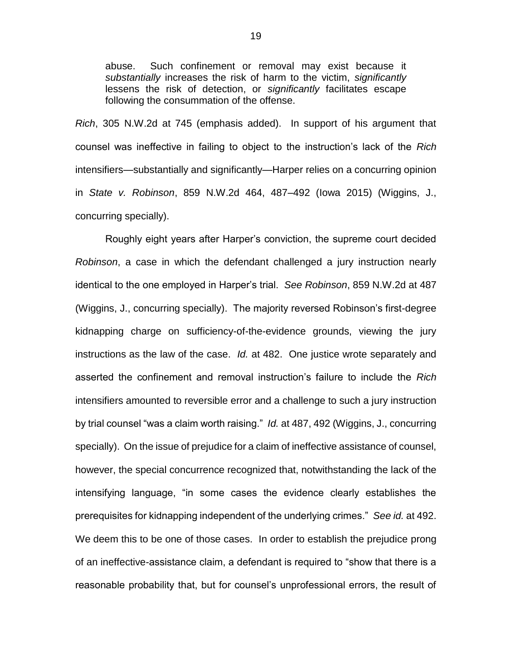abuse. Such confinement or removal may exist because it *substantially* increases the risk of harm to the victim, *significantly* lessens the risk of detection, or *significantly* facilitates escape following the consummation of the offense.

*Rich*, 305 N.W.2d at 745 (emphasis added). In support of his argument that counsel was ineffective in failing to object to the instruction's lack of the *Rich* intensifiers—substantially and significantly—Harper relies on a concurring opinion in *State v. Robinson*, 859 N.W.2d 464, 487–492 (Iowa 2015) (Wiggins, J., concurring specially).

Roughly eight years after Harper's conviction, the supreme court decided *Robinson*, a case in which the defendant challenged a jury instruction nearly identical to the one employed in Harper's trial. *See Robinson*, 859 N.W.2d at 487 (Wiggins, J., concurring specially). The majority reversed Robinson's first-degree kidnapping charge on sufficiency-of-the-evidence grounds, viewing the jury instructions as the law of the case. *Id.* at 482. One justice wrote separately and asserted the confinement and removal instruction's failure to include the *Rich*  intensifiers amounted to reversible error and a challenge to such a jury instruction by trial counsel "was a claim worth raising." *Id.* at 487, 492 (Wiggins, J., concurring specially). On the issue of prejudice for a claim of ineffective assistance of counsel, however, the special concurrence recognized that, notwithstanding the lack of the intensifying language, "in some cases the evidence clearly establishes the prerequisites for kidnapping independent of the underlying crimes." *See id.* at 492. We deem this to be one of those cases. In order to establish the prejudice prong of an ineffective-assistance claim, a defendant is required to "show that there is a reasonable probability that, but for counsel's unprofessional errors, the result of